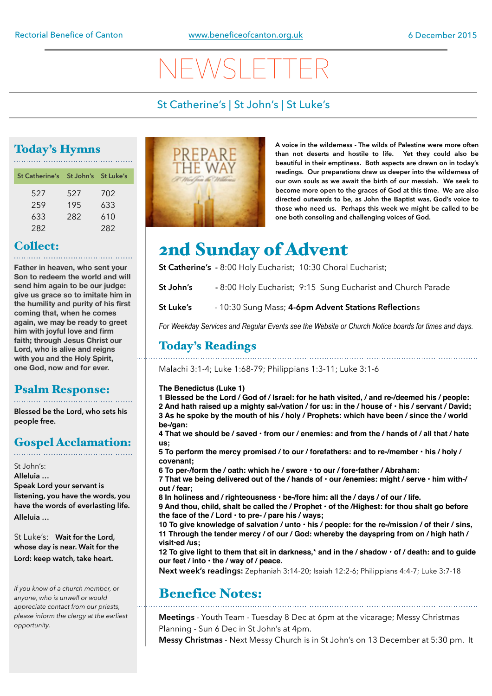# $\sqrt{F}$ WSI

### St Catherine's | St John's | St Luke's

### Today's Hymns

| St Catherine's St John's St Luke's |     |     |
|------------------------------------|-----|-----|
| 527                                | 527 | 702 |
| 259                                | 195 | 633 |
| 633                                | 282 | 610 |
| 282                                |     | 282 |

### Collect:

**Father in heaven, who sent your Son to redeem the world and will send him again to be our judge: give us grace so to imitate him in the humility and purity of his first coming that, when he comes again, we may be ready to greet him with joyful love and firm faith; through Jesus Christ our Lord, who is alive and reigns with you and the Holy Spirit, one God, now and for ever.**

### Psalm Response:

**Blessed be the Lord, who sets his people free.** 

### Gospel Acclamation:

St John's: **Alleluia …** 

**Speak Lord your servant is listening, you have the words, you have the words of everlasting life. Alleluia …** 

St Luke's: **Wait for the Lord, whose day is near. Wait for the Lord: keep watch, take heart.** 

*If you know of a church member, or anyone, who is unwell or would appreciate contact from our priests, please inform the clergy at the earliest opportunity.* 



**A voice in the wilderness - The wilds of Palestine were more often than not deserts and hostile to life. Yet they could also be beautiful in their emptiness. Both aspects are drawn on in today's readings. Our preparations draw us deeper into the wilderness of our own souls as we await the birth of our messiah. We seek to become more open to the graces of God at this time. We are also directed outwards to be, as John the Baptist was, God's voice to those who need us. Perhaps this week we might be called to be one both consoling and challenging voices of God.** 

## 2nd Sunday of Advent

**St Catherine's -** 8:00 Holy Eucharist; 10:30 Choral Eucharist;

- **St John's** 8:00 Holy Eucharist; 9:15 Sung Eucharist and Church Parade
- **St Luke's**  10:30 Sung Mass; **4-6pm Advent Stations Reflection**s

*For Weekday Services and Regular Events see the Website or Church Notice boards for times and days.*

### Today's Readings

Malachi 3:1-4; Luke 1:68-79; Philippians 1:3-11; Luke 3:1-6

#### **The Benedictus (Luke 1)**

**1 Blessed be the Lord / God of / Israel: for he hath visited, / and re-/deemed his / people: 2 And hath raised up a mighty sal-/vation / for us: in the / house of • his / servant / David; 3 As he spoke by the mouth of his / holy / Prophets: which have been / since the / world be-/gan:** 

**4 That we should be / saved • from our / enemies: and from the / hands of / all that / hate us;**

**5 To perform the mercy promised / to our / forefathers: and to re-/member • his / holy / covenant;** 

**6 To per-/form the / oath: which he / swore • to our / fore•father / Abraham:**

**7 That we being delivered out of the / hands of • our /enemies: might / serve • him with-/ out / fear;** 

**8 In holiness and / righteousness • be-/fore him: all the / days / of our / life.**

**9 And thou, child, shalt be called the / Prophet • of the /Highest: for thou shalt go before the face of the / Lord • to pre- / pare his / ways;** 

**10 To give knowledge of salvation / unto • his / people: for the re-/mission / of their / sins, 11 Through the tender mercy / of our / God: whereby the dayspring from on / high hath / visit•ed /us;** 

**12 To give light to them that sit in darkness,\* and in the / shadow • of / death: and to guide our feet / into • the / way of / peace.**

**Next week's readings:** Zephaniah 3:14-20; Isaiah 12:2-6; Philippians 4:4-7; Luke 3:7-18

## Benefice Notes:

**Meetings** - Youth Team - Tuesday 8 Dec at 6pm at the vicarage; Messy Christmas Planning - Sun 6 Dec in St John's at 4pm.

**Messy Christmas** - Next Messy Church is in St John's on 13 December at 5:30 pm. It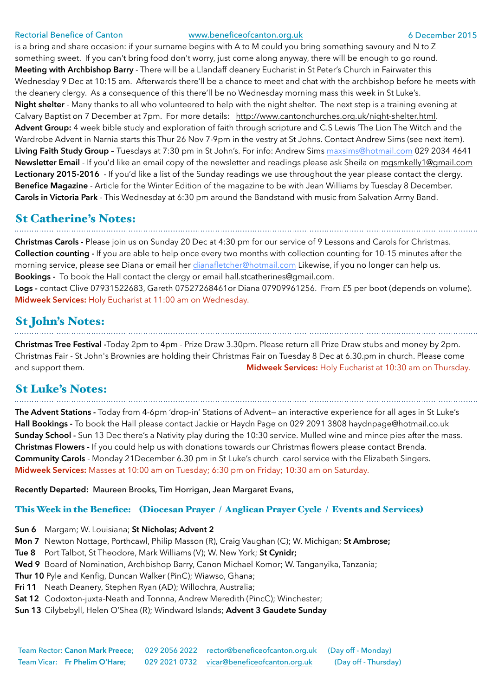#### Rectorial Benefice of Canton **[www.beneficeofcanton.org.uk](http://www.beneficeofcanton.org.uk)** 6 December 2015

is a bring and share occasion: if your surname begins with A to M could you bring something savoury and N to Z something sweet. If you can't bring food don't worry, just come along anyway, there will be enough to go round. **Meeting with Archbishop Barry** - There will be a Llandaff deanery Eucharist in St Peter's Church in Fairwater this Wednesday 9 Dec at 10:15 am. Afterwards there'll be a chance to meet and chat with the archbishop before he meets with the deanery clergy. As a consequence of this there'll be no Wednesday morning mass this week in St Luke's. **Night shelter** - Many thanks to all who volunteered to help with the night shelter. The next step is a training evening at Calvary Baptist on 7 December at 7pm. For more details: <http://www.cantonchurches.org.uk/night-shelter.html>. **Advent Group:** 4 week bible study and exploration of faith through scripture and C.S Lewis 'The Lion The Witch and the Wardrobe Advent in Narnia starts this Thur 26 Nov 7-9pm in the vestry at St Johns. Contact Andrew Sims (see next item). **Living Faith Study Group** – *T*uesdays at 7:30 pm in St John's. For info: Andrew Sims [maxsims@hotmail.com](mailto:maxsims@hotmail.com) 029 2034 4641 **Newsletter Email** - If you'd like an email copy of the newsletter and readings please ask Sheila on [mgsmkelly1@gmail.com](mailto:mgsmkelly1@gmail.com) **Lectionary 2015-2016** - If you'd like a list of the Sunday readings we use throughout the year please contact the clergy. **Benefice Magazine** - Article for the Winter Edition of the magazine to be with Jean Williams by Tuesday 8 December. **Carols in Victoria Park** - This Wednesday at 6:30 pm around the Bandstand with music from Salvation Army Band.

### St Catherine's Notes:

**Christmas Carols -** Please join us on Sunday 20 Dec at 4:30 pm for our service of 9 Lessons and Carols for Christmas. **Collection counting -** If you are able to help once every two months with collection counting for 10-15 minutes after the morning service, please see Diana or email her [dianafletcher@hotmail.com](mailto:dianafletcher@hotmail.com?subject=) Likewise, if you no longer can help us. **Bookings -** To book the Hall contact the clergy or email [hall.stcatherines@gmail.com.](mailto:hall.stcatherines@gmail.com) **Logs -** contact Clive 07931522683, Gareth 07527268461or Diana 07909961256. From £5 per boot (depends on volume).

**Midweek Services:** Holy Eucharist at 11:00 am on Wednesday.

## St John's Notes:

**Christmas Tree Festival -**Today 2pm to 4pm - Prize Draw 3.30pm. Please return all Prize Draw stubs and money by 2pm. Christmas Fair - St John's Brownies are holding their Christmas Fair on Tuesday 8 Dec at 6.30.pm in church. Please come and support them. **Midweek Services:** Holy Eucharist at 10:30 am on Thursday.

### St Luke's Notes:

**The Advent Stations -** Today from 4-6pm 'drop-in' Stations of Advent— an interactive experience for all ages in St Luke's **Hall Bookings -** To book the Hall please contact Jackie or Haydn Page on 029 2091 3808 [haydnpage@hotmail.co.uk](mailto:haydnpage@hotmail.co.uk) **Sunday School -** Sun 13 Dec there's a Nativity play during the 10:30 service. Mulled wine and mince pies after the mass. **Christmas Flowers -** If you could help us with donations towards our Christmas flowers please contact Brenda. **Community Carols** - Monday 21December 6.30 pm in St Luke's church carol service with the Elizabeth Singers. **Midweek Services:** Masses at 10:00 am on Tuesday; 6:30 pm on Friday; 10:30 am on Saturday.

**Recently Departed:** Maureen Brooks, Tim Horrigan, Jean Margaret Evans,

#### This Week in the Benefice: (Diocesan Prayer / Anglican Prayer Cycle / Events and Services)

- **Sun 6** Margam; W. Louisiana; **St Nicholas; Advent 2**
- **Mon 7** Newton Nottage, Porthcawl, Philip Masson (R), Craig Vaughan (C); W. Michigan; **St Ambrose;**
- **Tue 8** Port Talbot, St Theodore, Mark Williams (V); W. New York; **St Cynidr;**
- **Wed 9** Board of Nomination, Archbishop Barry, Canon Michael Komor; W. Tanganyika, Tanzania;
- **Thur 10** Pyle and Kenfig, Duncan Walker (PinC); Wiawso, Ghana;
- **Fri 11** Neath Deanery, Stephen Ryan (AD); Willochra, Australia;
- **Sat 12** Codoxton-juxta-Neath and Tonnna, Andrew Meredith (PincC); Winchester;
- **Sun 13** Cilybebyll, Helen O'Shea (R); Windward Islands; **Advent 3 Gaudete Sunday**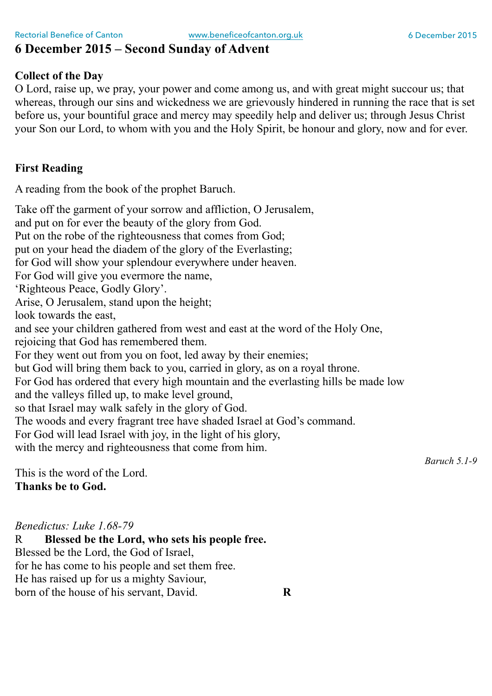### **6 December 2015 – Second Sunday of Advent**

### **Collect of the Day**

O Lord, raise up, we pray, your power and come among us, and with great might succour us; that whereas, through our sins and wickedness we are grievously hindered in running the race that is set before us, your bountiful grace and mercy may speedily help and deliver us; through Jesus Christ your Son our Lord, to whom with you and the Holy Spirit, be honour and glory, now and for ever.

### **First Reading**

A reading from the book of the prophet Baruch.

Take off the garment of your sorrow and affliction, O Jerusalem, and put on for ever the beauty of the glory from God. Put on the robe of the righteousness that comes from God; put on your head the diadem of the glory of the Everlasting; for God will show your splendour everywhere under heaven. For God will give you evermore the name, 'Righteous Peace, Godly Glory'. Arise, O Jerusalem, stand upon the height; look towards the east, and see your children gathered from west and east at the word of the Holy One, rejoicing that God has remembered them. For they went out from you on foot, led away by their enemies; but God will bring them back to you, carried in glory, as on a royal throne. For God has ordered that every high mountain and the everlasting hills be made low and the valleys filled up, to make level ground, so that Israel may walk safely in the glory of God. The woods and every fragrant tree have shaded Israel at God's command. For God will lead Israel with joy, in the light of his glory, with the mercy and righteousness that come from him.

This is the word of the Lord. **Thanks be to God.** 

*Benedictus: Luke 1.68-79* 

R **Blessed be the Lord, who sets his people free.** 

Blessed be the Lord, the God of Israel,

for he has come to his people and set them free.

He has raised up for us a mighty Saviour,

born of the house of his servant, David. **R** 

*Baruch 5.1-9*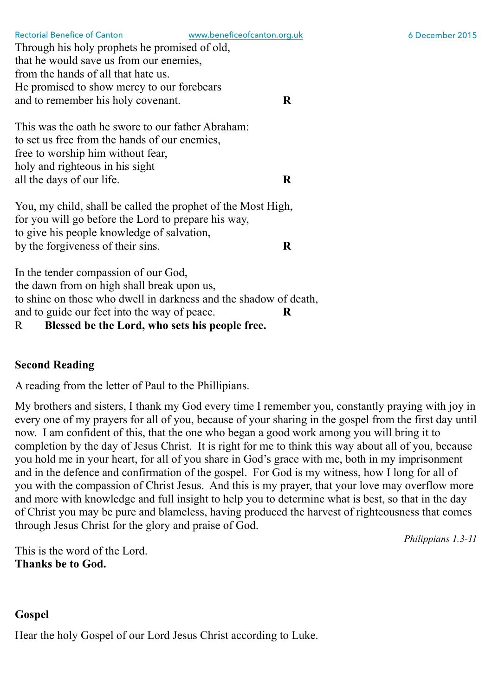| 6 December 2015 |  |
|-----------------|--|
|                 |  |

Rectorial Benefice of Canton [www.beneficeofcanton.org.uk](http://www.beneficeofcanton.org.uk) Through his holy prophets he promised of old, that he would save us from our enemies, from the hands of all that hate us. He promised to show mercy to our forebears and to remember his holy covenant. **R**  This was the oath he swore to our father Abraham: to set us free from the hands of our enemies, free to worship him without fear, holy and righteous in his sight all the days of our life. **R**  You, my child, shall be called the prophet of the Most High, for you will go before the Lord to prepare his way, to give his people knowledge of salvation, by the forgiveness of their sins. **R**  In the tender compassion of our God, the dawn from on high shall break upon us, to shine on those who dwell in darkness and the shadow of death, and to guide our feet into the way of peace. **R**

R **Blessed be the Lord, who sets his people free.** 

### **Second Reading**

A reading from the letter of Paul to the Phillipians.

My brothers and sisters, I thank my God every time I remember you, constantly praying with joy in every one of my prayers for all of you, because of your sharing in the gospel from the first day until now. I am confident of this, that the one who began a good work among you will bring it to completion by the day of Jesus Christ. It is right for me to think this way about all of you, because you hold me in your heart, for all of you share in God's grace with me, both in my imprisonment and in the defence and confirmation of the gospel. For God is my witness, how I long for all of you with the compassion of Christ Jesus. And this is my prayer, that your love may overflow more and more with knowledge and full insight to help you to determine what is best, so that in the day of Christ you may be pure and blameless, having produced the harvest of righteousness that comes through Jesus Christ for the glory and praise of God.

*Philippians 1.3-11* 

This is the word of the Lord. **Thanks be to God.** 

### **Gospel**

Hear the holy Gospel of our Lord Jesus Christ according to Luke.